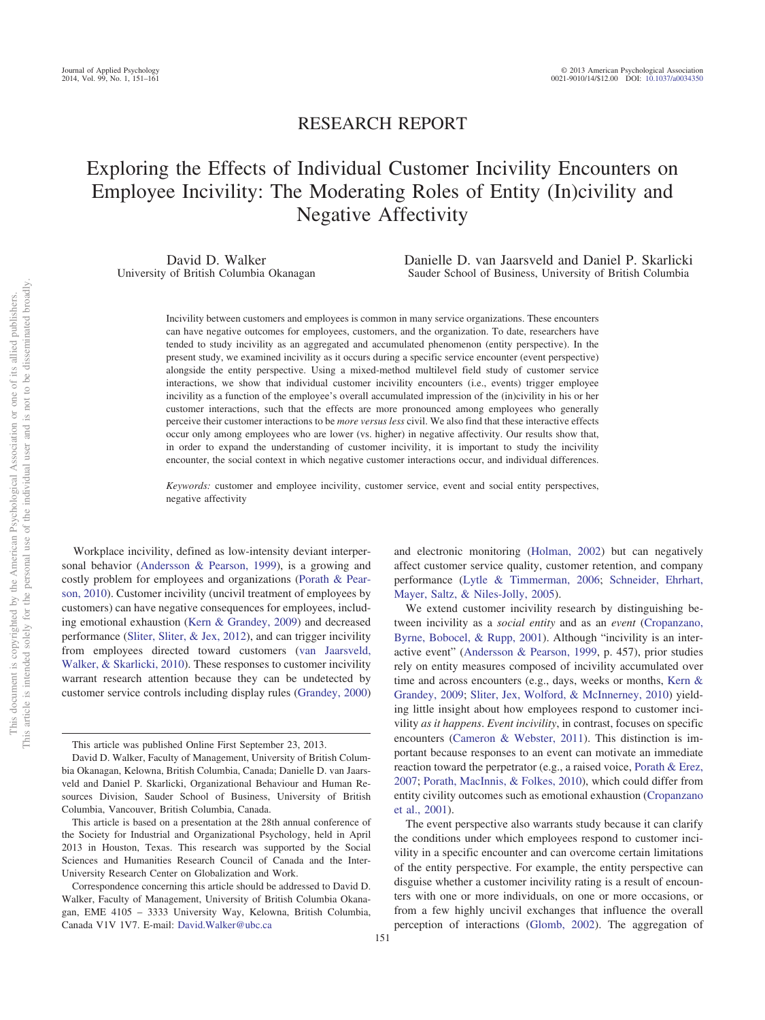# RESEARCH REPORT

# Exploring the Effects of Individual Customer Incivility Encounters on Employee Incivility: The Moderating Roles of Entity (In)civility and Negative Affectivity

David D. Walker University of British Columbia Okanagan Danielle D. van Jaarsveld and Daniel P. Skarlicki Sauder School of Business, University of British Columbia

Incivility between customers and employees is common in many service organizations. These encounters can have negative outcomes for employees, customers, and the organization. To date, researchers have tended to study incivility as an aggregated and accumulated phenomenon (entity perspective). In the present study, we examined incivility as it occurs during a specific service encounter (event perspective) alongside the entity perspective. Using a mixed-method multilevel field study of customer service interactions, we show that individual customer incivility encounters (i.e., events) trigger employee incivility as a function of the employee's overall accumulated impression of the (in)civility in his or her customer interactions, such that the effects are more pronounced among employees who generally perceive their customer interactions to be *more versus less* civil. We also find that these interactive effects occur only among employees who are lower (vs. higher) in negative affectivity. Our results show that, in order to expand the understanding of customer incivility, it is important to study the incivility encounter, the social context in which negative customer interactions occur, and individual differences.

*Keywords:* customer and employee incivility, customer service, event and social entity perspectives, negative affectivity

Workplace incivility, defined as low-intensity deviant interpersonal behavior (Andersson & Pearson, 1999), is a growing and costly problem for employees and organizations (Porath & Pearson, 2010). Customer incivility (uncivil treatment of employees by customers) can have negative consequences for employees, including emotional exhaustion (Kern & Grandey, 2009) and decreased performance (Sliter, Sliter, & Jex, 2012), and can trigger incivility from employees directed toward customers (van Jaarsveld, Walker, & Skarlicki, 2010). These responses to customer incivility warrant research attention because they can be undetected by customer service controls including display rules (Grandey, 2000)

151

and electronic monitoring (Holman, 2002) but can negatively affect customer service quality, customer retention, and company performance (Lytle & Timmerman, 2006; Schneider, Ehrhart, Mayer, Saltz, & Niles-Jolly, 2005).

We extend customer incivility research by distinguishing between incivility as a *social entity* and as an *event* (Cropanzano, Byrne, Bobocel, & Rupp, 2001). Although "incivility is an interactive event" (Andersson & Pearson, 1999, p. 457), prior studies rely on entity measures composed of incivility accumulated over time and across encounters (e.g., days, weeks or months, Kern & Grandey, 2009; Sliter, Jex, Wolford, & McInnerney, 2010) yielding little insight about how employees respond to customer incivility *as it happens*. *Event incivility*, in contrast, focuses on specific encounters (Cameron & Webster, 2011). This distinction is important because responses to an event can motivate an immediate reaction toward the perpetrator (e.g., a raised voice, Porath & Erez, 2007; Porath, MacInnis, & Folkes, 2010), which could differ from entity civility outcomes such as emotional exhaustion (Cropanzano et al., 2001).

The event perspective also warrants study because it can clarify the conditions under which employees respond to customer incivility in a specific encounter and can overcome certain limitations of the entity perspective. For example, the entity perspective can disguise whether a customer incivility rating is a result of encounters with one or more individuals, on one or more occasions, or from a few highly uncivil exchanges that influence the overall perception of interactions (Glomb, 2002). The aggregation of

This article was published Online First September 23, 2013.

David D. Walker, Faculty of Management, University of British Columbia Okanagan, Kelowna, British Columbia, Canada; Danielle D. van Jaarsveld and Daniel P. Skarlicki, Organizational Behaviour and Human Resources Division, Sauder School of Business, University of British Columbia, Vancouver, British Columbia, Canada.

This article is based on a presentation at the 28th annual conference of the Society for Industrial and Organizational Psychology, held in April 2013 in Houston, Texas. This research was supported by the Social Sciences and Humanities Research Council of Canada and the Inter-University Research Center on Globalization and Work.

Correspondence concerning this article should be addressed to David D. Walker, Faculty of Management, University of British Columbia Okanagan, EME 4105 – 3333 University Way, Kelowna, British Columbia, Canada V1V 1V7. E-mail: David.Walker@ubc.ca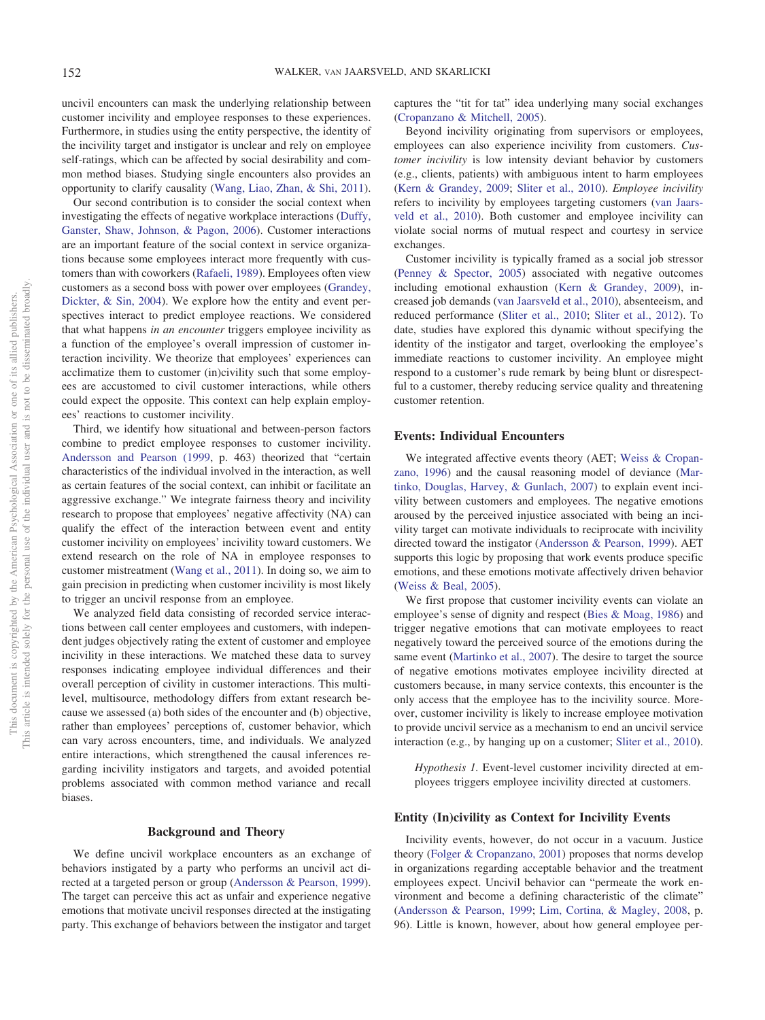uncivil encounters can mask the underlying relationship between customer incivility and employee responses to these experiences. Furthermore, in studies using the entity perspective, the identity of the incivility target and instigator is unclear and rely on employee self-ratings, which can be affected by social desirability and common method biases. Studying single encounters also provides an opportunity to clarify causality (Wang, Liao, Zhan, & Shi, 2011).

Our second contribution is to consider the social context when investigating the effects of negative workplace interactions (Duffy, Ganster, Shaw, Johnson, & Pagon, 2006). Customer interactions are an important feature of the social context in service organizations because some employees interact more frequently with customers than with coworkers (Rafaeli, 1989). Employees often view customers as a second boss with power over employees (Grandey, Dickter, & Sin, 2004). We explore how the entity and event perspectives interact to predict employee reactions. We considered that what happens *in an encounter* triggers employee incivility as a function of the employee's overall impression of customer interaction incivility. We theorize that employees' experiences can acclimatize them to customer (in)civility such that some employees are accustomed to civil customer interactions, while others could expect the opposite. This context can help explain employees' reactions to customer incivility.

Third, we identify how situational and between-person factors combine to predict employee responses to customer incivility. Andersson and Pearson (1999, p. 463) theorized that "certain characteristics of the individual involved in the interaction, as well as certain features of the social context, can inhibit or facilitate an aggressive exchange." We integrate fairness theory and incivility research to propose that employees' negative affectivity (NA) can qualify the effect of the interaction between event and entity customer incivility on employees' incivility toward customers. We extend research on the role of NA in employee responses to customer mistreatment (Wang et al., 2011). In doing so, we aim to gain precision in predicting when customer incivility is most likely to trigger an uncivil response from an employee.

We analyzed field data consisting of recorded service interactions between call center employees and customers, with independent judges objectively rating the extent of customer and employee incivility in these interactions. We matched these data to survey responses indicating employee individual differences and their overall perception of civility in customer interactions. This multilevel, multisource, methodology differs from extant research because we assessed (a) both sides of the encounter and (b) objective, rather than employees' perceptions of, customer behavior, which can vary across encounters, time, and individuals. We analyzed entire interactions, which strengthened the causal inferences regarding incivility instigators and targets, and avoided potential problems associated with common method variance and recall biases.

#### **Background and Theory**

We define uncivil workplace encounters as an exchange of behaviors instigated by a party who performs an uncivil act directed at a targeted person or group (Andersson & Pearson, 1999). The target can perceive this act as unfair and experience negative emotions that motivate uncivil responses directed at the instigating party. This exchange of behaviors between the instigator and target

captures the "tit for tat" idea underlying many social exchanges (Cropanzano & Mitchell, 2005).

Beyond incivility originating from supervisors or employees, employees can also experience incivility from customers. *Customer incivility* is low intensity deviant behavior by customers (e.g., clients, patients) with ambiguous intent to harm employees (Kern & Grandey, 2009; Sliter et al., 2010). *Employee incivility* refers to incivility by employees targeting customers (van Jaarsveld et al., 2010). Both customer and employee incivility can violate social norms of mutual respect and courtesy in service exchanges.

Customer incivility is typically framed as a social job stressor (Penney & Spector, 2005) associated with negative outcomes including emotional exhaustion (Kern & Grandey, 2009), increased job demands (van Jaarsveld et al., 2010), absenteeism, and reduced performance (Sliter et al., 2010; Sliter et al., 2012). To date, studies have explored this dynamic without specifying the identity of the instigator and target, overlooking the employee's immediate reactions to customer incivility. An employee might respond to a customer's rude remark by being blunt or disrespectful to a customer, thereby reducing service quality and threatening customer retention.

#### **Events: Individual Encounters**

We integrated affective events theory (AET; Weiss & Cropanzano, 1996) and the causal reasoning model of deviance (Martinko, Douglas, Harvey, & Gunlach, 2007) to explain event incivility between customers and employees. The negative emotions aroused by the perceived injustice associated with being an incivility target can motivate individuals to reciprocate with incivility directed toward the instigator (Andersson & Pearson, 1999). AET supports this logic by proposing that work events produce specific emotions, and these emotions motivate affectively driven behavior (Weiss & Beal, 2005).

We first propose that customer incivility events can violate an employee's sense of dignity and respect (Bies & Moag, 1986) and trigger negative emotions that can motivate employees to react negatively toward the perceived source of the emotions during the same event (Martinko et al., 2007). The desire to target the source of negative emotions motivates employee incivility directed at customers because, in many service contexts, this encounter is the only access that the employee has to the incivility source. Moreover, customer incivility is likely to increase employee motivation to provide uncivil service as a mechanism to end an uncivil service interaction (e.g., by hanging up on a customer; Sliter et al., 2010).

*Hypothesis 1.* Event-level customer incivility directed at employees triggers employee incivility directed at customers.

#### **Entity (In)civility as Context for Incivility Events**

Incivility events, however, do not occur in a vacuum. Justice theory (Folger & Cropanzano, 2001) proposes that norms develop in organizations regarding acceptable behavior and the treatment employees expect. Uncivil behavior can "permeate the work environment and become a defining characteristic of the climate" (Andersson & Pearson, 1999; Lim, Cortina, & Magley, 2008, p. 96). Little is known, however, about how general employee per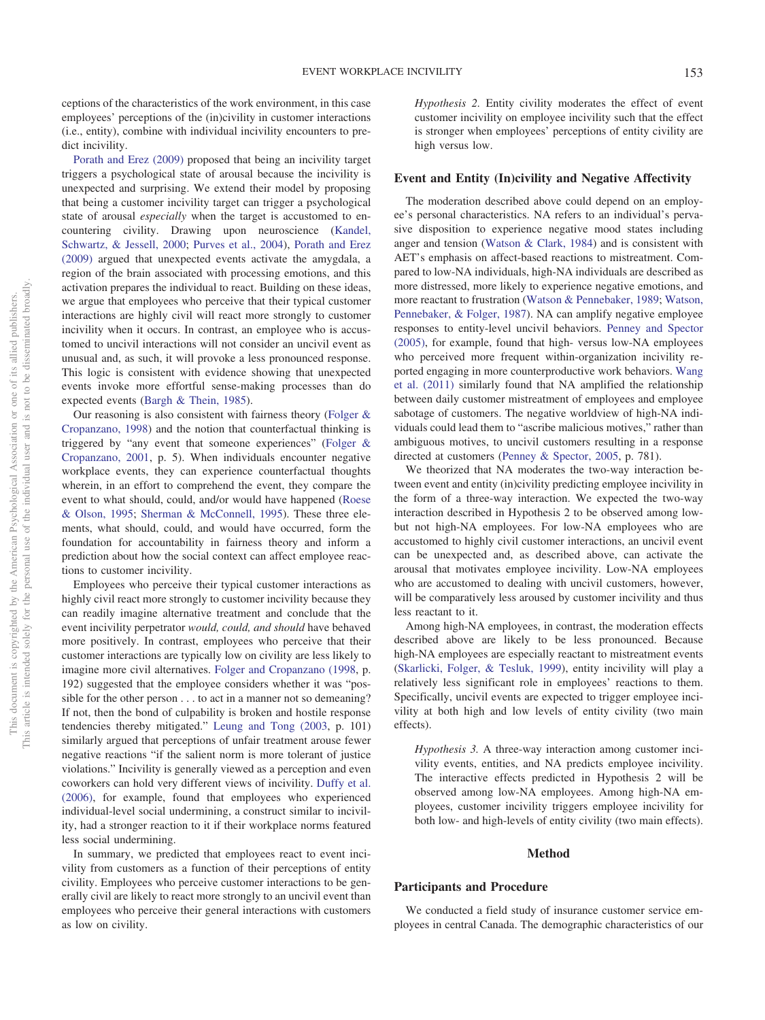ceptions of the characteristics of the work environment, in this case employees' perceptions of the (in)civility in customer interactions (i.e., entity), combine with individual incivility encounters to predict incivility.

Porath and Erez (2009) proposed that being an incivility target triggers a psychological state of arousal because the incivility is unexpected and surprising. We extend their model by proposing that being a customer incivility target can trigger a psychological state of arousal *especially* when the target is accustomed to encountering civility. Drawing upon neuroscience (Kandel, Schwartz, & Jessell, 2000; Purves et al., 2004), Porath and Erez (2009) argued that unexpected events activate the amygdala, a region of the brain associated with processing emotions, and this activation prepares the individual to react. Building on these ideas, we argue that employees who perceive that their typical customer interactions are highly civil will react more strongly to customer incivility when it occurs. In contrast, an employee who is accustomed to uncivil interactions will not consider an uncivil event as unusual and, as such, it will provoke a less pronounced response. This logic is consistent with evidence showing that unexpected events invoke more effortful sense-making processes than do expected events (Bargh & Thein, 1985).

Our reasoning is also consistent with fairness theory (Folger & Cropanzano, 1998) and the notion that counterfactual thinking is triggered by "any event that someone experiences" (Folger & Cropanzano, 2001, p. 5). When individuals encounter negative workplace events, they can experience counterfactual thoughts wherein, in an effort to comprehend the event, they compare the event to what should, could, and/or would have happened (Roese & Olson, 1995; Sherman & McConnell, 1995). These three elements, what should, could, and would have occurred, form the foundation for accountability in fairness theory and inform a prediction about how the social context can affect employee reactions to customer incivility.

Employees who perceive their typical customer interactions as highly civil react more strongly to customer incivility because they can readily imagine alternative treatment and conclude that the event incivility perpetrator *would, could, and should* have behaved more positively. In contrast, employees who perceive that their customer interactions are typically low on civility are less likely to imagine more civil alternatives. Folger and Cropanzano (1998, p. 192) suggested that the employee considers whether it was "possible for the other person . . . to act in a manner not so demeaning? If not, then the bond of culpability is broken and hostile response tendencies thereby mitigated." Leung and Tong (2003, p. 101) similarly argued that perceptions of unfair treatment arouse fewer negative reactions "if the salient norm is more tolerant of justice violations." Incivility is generally viewed as a perception and even coworkers can hold very different views of incivility. Duffy et al. (2006), for example, found that employees who experienced individual-level social undermining, a construct similar to incivility, had a stronger reaction to it if their workplace norms featured less social undermining.

In summary, we predicted that employees react to event incivility from customers as a function of their perceptions of entity civility. Employees who perceive customer interactions to be generally civil are likely to react more strongly to an uncivil event than employees who perceive their general interactions with customers as low on civility.

*Hypothesis 2.* Entity civility moderates the effect of event customer incivility on employee incivility such that the effect is stronger when employees' perceptions of entity civility are high versus low.

#### **Event and Entity (In)civility and Negative Affectivity**

The moderation described above could depend on an employee's personal characteristics. NA refers to an individual's pervasive disposition to experience negative mood states including anger and tension (Watson & Clark, 1984) and is consistent with AET's emphasis on affect-based reactions to mistreatment. Compared to low-NA individuals, high-NA individuals are described as more distressed, more likely to experience negative emotions, and more reactant to frustration (Watson & Pennebaker, 1989; Watson, Pennebaker, & Folger, 1987). NA can amplify negative employee responses to entity-level uncivil behaviors. Penney and Spector (2005), for example, found that high- versus low-NA employees who perceived more frequent within-organization incivility reported engaging in more counterproductive work behaviors. Wang et al. (2011) similarly found that NA amplified the relationship between daily customer mistreatment of employees and employee sabotage of customers. The negative worldview of high-NA individuals could lead them to "ascribe malicious motives," rather than ambiguous motives, to uncivil customers resulting in a response directed at customers (Penney & Spector, 2005, p. 781).

We theorized that NA moderates the two-way interaction between event and entity (in)civility predicting employee incivility in the form of a three-way interaction. We expected the two-way interaction described in Hypothesis 2 to be observed among lowbut not high-NA employees. For low-NA employees who are accustomed to highly civil customer interactions, an uncivil event can be unexpected and, as described above, can activate the arousal that motivates employee incivility. Low-NA employees who are accustomed to dealing with uncivil customers, however, will be comparatively less aroused by customer incivility and thus less reactant to it.

Among high-NA employees, in contrast, the moderation effects described above are likely to be less pronounced. Because high-NA employees are especially reactant to mistreatment events (Skarlicki, Folger, & Tesluk, 1999), entity incivility will play a relatively less significant role in employees' reactions to them. Specifically, uncivil events are expected to trigger employee incivility at both high and low levels of entity civility (two main effects).

*Hypothesis 3.* A three-way interaction among customer incivility events, entities, and NA predicts employee incivility. The interactive effects predicted in Hypothesis 2 will be observed among low-NA employees. Among high-NA employees, customer incivility triggers employee incivility for both low- and high-levels of entity civility (two main effects).

#### **Method**

#### **Participants and Procedure**

We conducted a field study of insurance customer service employees in central Canada. The demographic characteristics of our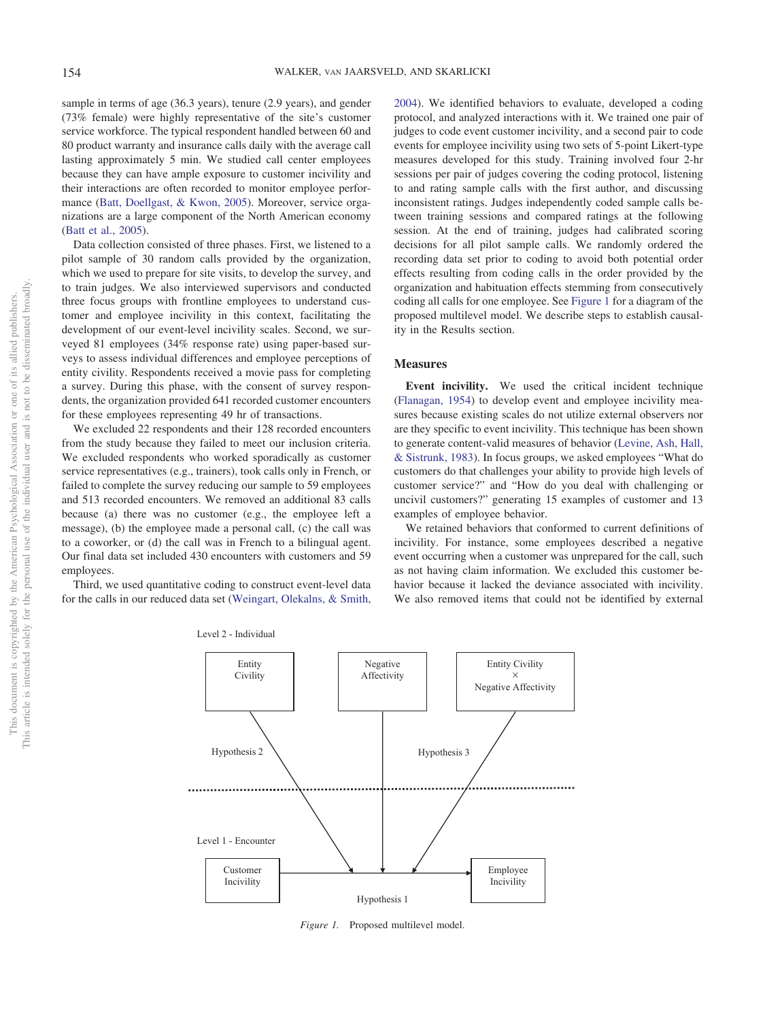sample in terms of age (36.3 years), tenure (2.9 years), and gender (73% female) were highly representative of the site's customer service workforce. The typical respondent handled between 60 and 80 product warranty and insurance calls daily with the average call lasting approximately 5 min. We studied call center employees because they can have ample exposure to customer incivility and their interactions are often recorded to monitor employee performance (Batt, Doellgast, & Kwon, 2005). Moreover, service organizations are a large component of the North American economy (Batt et al., 2005).

Data collection consisted of three phases. First, we listened to a pilot sample of 30 random calls provided by the organization, which we used to prepare for site visits, to develop the survey, and to train judges. We also interviewed supervisors and conducted three focus groups with frontline employees to understand customer and employee incivility in this context, facilitating the development of our event-level incivility scales. Second, we surveyed 81 employees (34% response rate) using paper-based surveys to assess individual differences and employee perceptions of entity civility. Respondents received a movie pass for completing a survey. During this phase, with the consent of survey respondents, the organization provided 641 recorded customer encounters for these employees representing 49 hr of transactions.

We excluded 22 respondents and their 128 recorded encounters from the study because they failed to meet our inclusion criteria. We excluded respondents who worked sporadically as customer service representatives (e.g., trainers), took calls only in French, or failed to complete the survey reducing our sample to 59 employees and 513 recorded encounters. We removed an additional 83 calls because (a) there was no customer (e.g., the employee left a message), (b) the employee made a personal call, (c) the call was to a coworker, or (d) the call was in French to a bilingual agent. Our final data set included 430 encounters with customers and 59 employees.

Third, we used quantitative coding to construct event-level data for the calls in our reduced data set (Weingart, Olekalns, & Smith, 2004). We identified behaviors to evaluate, developed a coding protocol, and analyzed interactions with it. We trained one pair of judges to code event customer incivility, and a second pair to code events for employee incivility using two sets of 5-point Likert-type measures developed for this study. Training involved four 2-hr sessions per pair of judges covering the coding protocol, listening to and rating sample calls with the first author, and discussing inconsistent ratings. Judges independently coded sample calls between training sessions and compared ratings at the following session. At the end of training, judges had calibrated scoring decisions for all pilot sample calls. We randomly ordered the recording data set prior to coding to avoid both potential order effects resulting from coding calls in the order provided by the organization and habituation effects stemming from consecutively coding all calls for one employee. See Figure 1 for a diagram of the proposed multilevel model. We describe steps to establish causality in the Results section.

#### **Measures**

**Event incivility.** We used the critical incident technique (Flanagan, 1954) to develop event and employee incivility measures because existing scales do not utilize external observers nor are they specific to event incivility. This technique has been shown to generate content-valid measures of behavior (Levine, Ash, Hall, & Sistrunk, 1983). In focus groups, we asked employees "What do customers do that challenges your ability to provide high levels of customer service?" and "How do you deal with challenging or uncivil customers?" generating 15 examples of customer and 13 examples of employee behavior.

We retained behaviors that conformed to current definitions of incivility. For instance, some employees described a negative event occurring when a customer was unprepared for the call, such as not having claim information. We excluded this customer behavior because it lacked the deviance associated with incivility. We also removed items that could not be identified by external



*Figure 1.* Proposed multilevel model.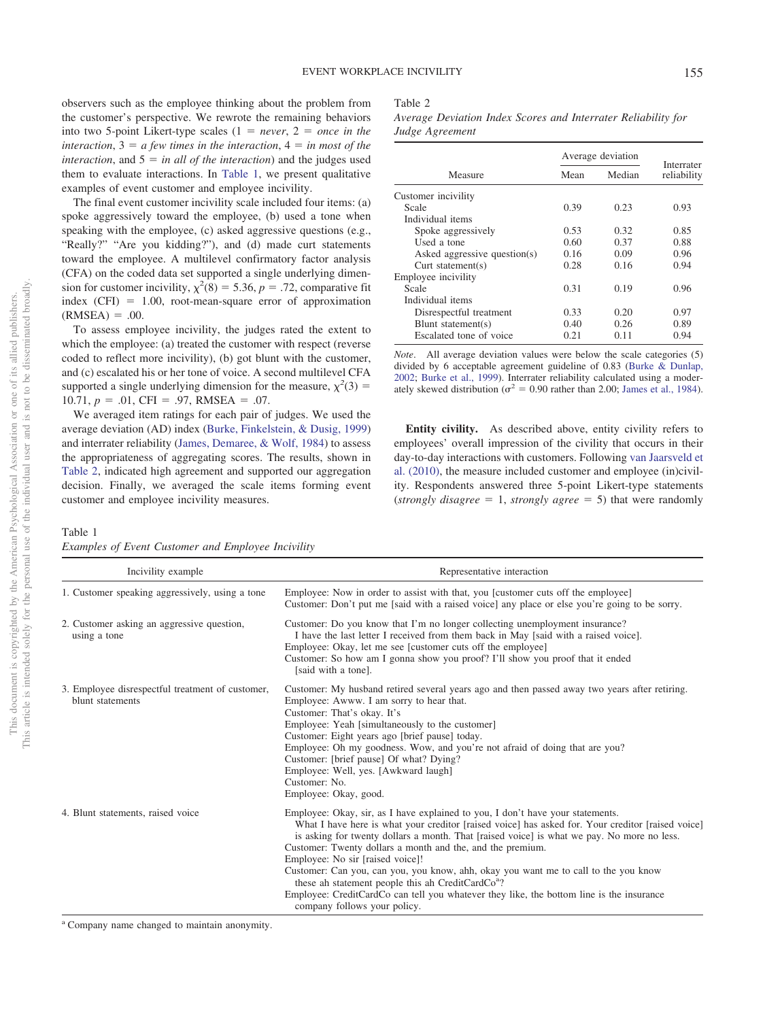observers such as the employee thinking about the problem from the customer's perspective. We rewrote the remaining behaviors into two 5-point Likert-type scales  $(1 = never, 2 = once in the$ *interaction*,  $3 = a$  *few times in the interaction*,  $4 = in$  *most of the interaction*, and  $5 = in$  *all of the interaction*) and the judges used them to evaluate interactions. In Table 1, we present qualitative examples of event customer and employee incivility.

The final event customer incivility scale included four items: (a) spoke aggressively toward the employee, (b) used a tone when speaking with the employee, (c) asked aggressive questions (e.g., "Really?" "Are you kidding?"), and (d) made curt statements toward the employee. A multilevel confirmatory factor analysis (CFA) on the coded data set supported a single underlying dimension for customer incivility,  $\chi^2(8) = 5.36$ ,  $p = .72$ , comparative fit index  $(CFI) = 1.00$ , root-mean-square error of approximation  $(RMSEA) = .00$ .

To assess employee incivility, the judges rated the extent to which the employee: (a) treated the customer with respect (reverse coded to reflect more incivility), (b) got blunt with the customer, and (c) escalated his or her tone of voice. A second multilevel CFA supported a single underlying dimension for the measure,  $\chi^2(3)$  = 10.71,  $p = .01$ , CFI = .97, RMSEA = .07.

We averaged item ratings for each pair of judges. We used the average deviation (AD) index (Burke, Finkelstein, & Dusig, 1999) and interrater reliability (James, Demaree, & Wolf, 1984) to assess the appropriateness of aggregating scores. The results, shown in Table 2, indicated high agreement and supported our aggregation decision. Finally, we averaged the scale items forming event customer and employee incivility measures.

#### Table 2

|                 |  |  | Average Deviation Index Scores and Interrater Reliability for |  |
|-----------------|--|--|---------------------------------------------------------------|--|
| Judge Agreement |  |  |                                                               |  |

|                              | Average deviation |        |                           |  |
|------------------------------|-------------------|--------|---------------------------|--|
| Measure                      | Mean              | Median | Interrater<br>reliability |  |
| Customer incivility          |                   |        |                           |  |
| Scale                        | 0.39              | 0.23   | 0.93                      |  |
| Individual items             |                   |        |                           |  |
| Spoke aggressively           | 0.53              | 0.32   | 0.85                      |  |
| Used a tone                  | 0.60              | 0.37   | 0.88                      |  |
| Asked aggressive question(s) | 0.16              | 0.09   | 0.96                      |  |
| Curt statement(s)            | 0.28              | 0.16   | 0.94                      |  |
| Employee incivility          |                   |        |                           |  |
| Scale                        | 0.31              | 0.19   | 0.96                      |  |
| Individual items             |                   |        |                           |  |
| Disrespectful treatment      | 0.33              | 0.20   | 0.97                      |  |
| Blunt statement(s)           | 0.40              | 0.26   | 0.89                      |  |
| Escalated tone of voice      | 0.21              | 0.11   | 0.94                      |  |

*Note*. All average deviation values were below the scale categories (5) divided by 6 acceptable agreement guideline of 0.83 (Burke & Dunlap, 2002; Burke et al., 1999). Interrater reliability calculated using a moderately skewed distribution ( $\sigma^2 = 0.90$  rather than 2.00; James et al., 1984).

**Entity civility.** As described above, entity civility refers to employees' overall impression of the civility that occurs in their day-to-day interactions with customers. Following van Jaarsveld et al. (2010), the measure included customer and employee (in)civility. Respondents answered three 5-point Likert-type statements  $(strongly disagree = 1, strongly agree = 5) that were randomly$ 

# Table 1

*Examples of Event Customer and Employee Incivility*

| Incivility example                                                   | Representative interaction                                                                                                                                                                                                                                                                                                                                                                                                                                                                                                                                                                                                                                              |  |  |  |  |  |
|----------------------------------------------------------------------|-------------------------------------------------------------------------------------------------------------------------------------------------------------------------------------------------------------------------------------------------------------------------------------------------------------------------------------------------------------------------------------------------------------------------------------------------------------------------------------------------------------------------------------------------------------------------------------------------------------------------------------------------------------------------|--|--|--|--|--|
| 1. Customer speaking aggressively, using a tone                      | Employee: Now in order to assist with that, you [customer cuts off the employee]<br>Customer: Don't put me [said with a raised voice] any place or else you're going to be sorry.                                                                                                                                                                                                                                                                                                                                                                                                                                                                                       |  |  |  |  |  |
| 2. Customer asking an aggressive question,<br>using a tone           | Customer: Do you know that I'm no longer collecting unemployment insurance?<br>I have the last letter I received from them back in May [said with a raised voice].<br>Employee: Okay, let me see [customer cuts off the employee]<br>Customer: So how am I gonna show you proof? I'll show you proof that it ended<br>[said with a tone].                                                                                                                                                                                                                                                                                                                               |  |  |  |  |  |
| 3. Employee disrespectful treatment of customer,<br>blunt statements | Customer: My husband retired several years ago and then passed away two years after retiring.<br>Employee: Awww. I am sorry to hear that.<br>Customer: That's okay. It's<br>Employee: Yeah [simultaneously to the customer]<br>Customer: Eight years ago [brief pause] today.<br>Employee: Oh my goodness. Wow, and you're not afraid of doing that are you?<br>Customer: [brief pause] Of what? Dying?<br>Employee: Well, yes. [Awkward laugh]<br>Customer: No.<br>Employee: Okay, good.                                                                                                                                                                               |  |  |  |  |  |
| 4. Blunt statements, raised voice                                    | Employee: Okay, sir, as I have explained to you, I don't have your statements.<br>What I have here is what your creditor [raised voice] has asked for. Your creditor [raised voice]<br>is asking for twenty dollars a month. That [raised voice] is what we pay. No more no less.<br>Customer: Twenty dollars a month and the, and the premium.<br>Employee: No sir [raised voice]!<br>Customer: Can you, can you, you know, ahh, okay you want me to call to the you know<br>these ah statement people this ah CreditCardCo <sup>a</sup> ?<br>Employee: CreditCardCo can tell you whatever they like, the bottom line is the insurance<br>company follows your policy. |  |  |  |  |  |

<sup>a</sup> Company name changed to maintain anonymity.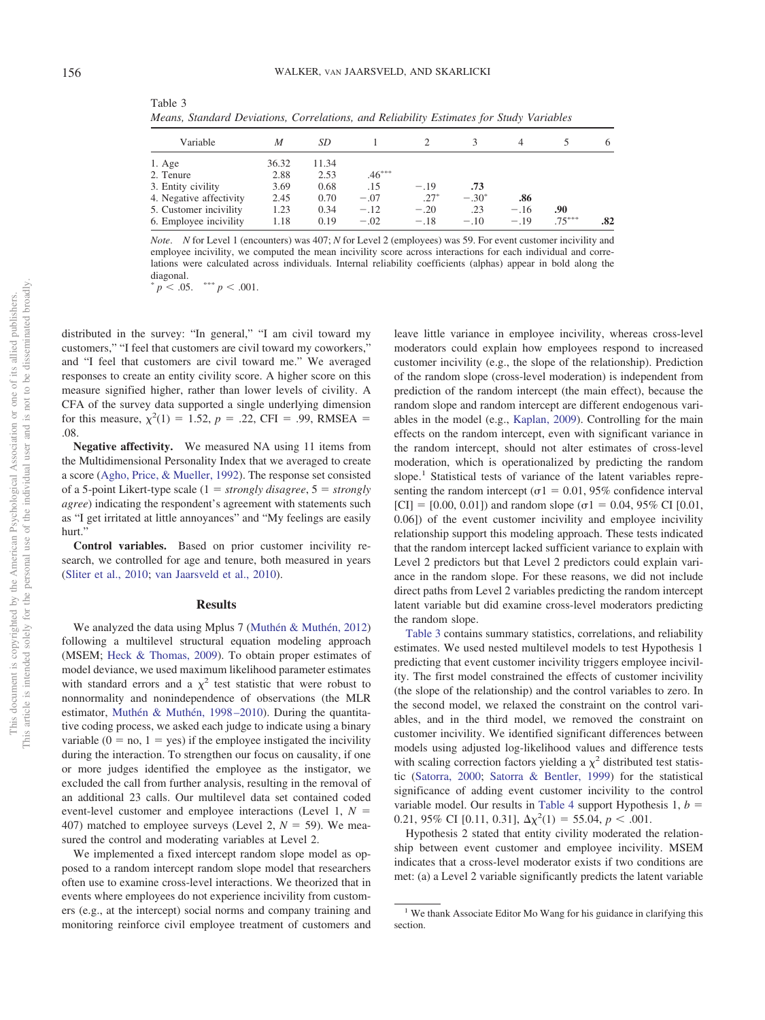| M     | SD    |          |        |         |        |          |     |
|-------|-------|----------|--------|---------|--------|----------|-----|
| 36.32 | 11.34 |          |        |         |        |          |     |
| 2.88  | 2.53  | $.46***$ |        |         |        |          |     |
| 3.69  | 0.68  | .15      | $-.19$ | .73     |        |          |     |
| 2.45  | 0.70  | $-.07$   | $.27*$ | $-.30*$ | .86    |          |     |
| 1.23  | 0.34  | $-.12$   | $-.20$ | .23     | $-.16$ | .90      |     |
| 1.18  | 0.19  | $-.02$   | $-.18$ | $-.10$  | $-.19$ | $.75***$ | .82 |
|       |       |          |        |         |        |          |     |

*Means, Standard Deviations, Correlations, and Reliability Estimates for Study Variables*

*Note*. *N* for Level 1 (encounters) was 407; *N* for Level 2 (employees) was 59. For event customer incivility and employee incivility, we computed the mean incivility score across interactions for each individual and correlations were calculated across individuals. Internal reliability coefficients (alphas) appear in bold along the diagonal.

 $p < .05.$  \*\*\*  $p < .001.$ 

Table 3

distributed in the survey: "In general," "I am civil toward my customers," "I feel that customers are civil toward my coworkers," and "I feel that customers are civil toward me." We averaged responses to create an entity civility score. A higher score on this measure signified higher, rather than lower levels of civility. A CFA of the survey data supported a single underlying dimension for this measure,  $\chi^2(1) = 1.52$ ,  $p = .22$ , CFI = .99, RMSEA = .08.

**Negative affectivity.** We measured NA using 11 items from the Multidimensional Personality Index that we averaged to create a score (Agho, Price, & Mueller, 1992). The response set consisted of a 5-point Likert-type scale  $(1 = strongly disagree, 5 = strongly$ *agree*) indicating the respondent's agreement with statements such as "I get irritated at little annoyances" and "My feelings are easily hurt.'

**Control variables.** Based on prior customer incivility research, we controlled for age and tenure, both measured in years (Sliter et al., 2010; van Jaarsveld et al., 2010).

#### **Results**

We analyzed the data using Mplus 7 (Muthén & Muthén, 2012) following a multilevel structural equation modeling approach (MSEM; Heck & Thomas, 2009). To obtain proper estimates of model deviance, we used maximum likelihood parameter estimates with standard errors and a  $\chi^2$  test statistic that were robust to nonnormality and nonindependence of observations (the MLR estimator, Muthén & Muthén, 1998–2010). During the quantitative coding process, we asked each judge to indicate using a binary variable  $(0 = no, 1 = yes)$  if the employee instigated the incivility during the interaction. To strengthen our focus on causality, if one or more judges identified the employee as the instigator, we excluded the call from further analysis, resulting in the removal of an additional 23 calls. Our multilevel data set contained coded event-level customer and employee interactions (Level 1, *N* 407) matched to employee surveys (Level 2,  $N = 59$ ). We measured the control and moderating variables at Level 2.

We implemented a fixed intercept random slope model as opposed to a random intercept random slope model that researchers often use to examine cross-level interactions. We theorized that in events where employees do not experience incivility from customers (e.g., at the intercept) social norms and company training and monitoring reinforce civil employee treatment of customers and leave little variance in employee incivility, whereas cross-level moderators could explain how employees respond to increased customer incivility (e.g., the slope of the relationship). Prediction of the random slope (cross-level moderation) is independent from prediction of the random intercept (the main effect), because the random slope and random intercept are different endogenous variables in the model (e.g., Kaplan, 2009). Controlling for the main effects on the random intercept, even with significant variance in the random intercept, should not alter estimates of cross-level moderation, which is operationalized by predicting the random slope.<sup>1</sup> Statistical tests of variance of the latent variables representing the random intercept ( $\sigma$ 1 = 0.01, 95% confidence interval  $[CI] = [0.00, 0.01]$  and random slope ( $\sigma$ 1 = 0.04, 95% CI [0.01, 0.06]) of the event customer incivility and employee incivility relationship support this modeling approach. These tests indicated that the random intercept lacked sufficient variance to explain with Level 2 predictors but that Level 2 predictors could explain variance in the random slope. For these reasons, we did not include direct paths from Level 2 variables predicting the random intercept latent variable but did examine cross-level moderators predicting the random slope.

Table 3 contains summary statistics, correlations, and reliability estimates. We used nested multilevel models to test Hypothesis 1 predicting that event customer incivility triggers employee incivility. The first model constrained the effects of customer incivility (the slope of the relationship) and the control variables to zero. In the second model, we relaxed the constraint on the control variables, and in the third model, we removed the constraint on customer incivility. We identified significant differences between models using adjusted log-likelihood values and difference tests with scaling correction factors yielding a  $\chi^2$  distributed test statistic (Satorra, 2000; Satorra & Bentler, 1999) for the statistical significance of adding event customer incivility to the control variable model. Our results in Table 4 support Hypothesis 1, *b* 0.21, 95% CI [0.11, 0.31],  $\Delta \chi^2(1) = 55.04, p < .001$ .

Hypothesis 2 stated that entity civility moderated the relationship between event customer and employee incivility. MSEM indicates that a cross-level moderator exists if two conditions are met: (a) a Level 2 variable significantly predicts the latent variable

<sup>&</sup>lt;sup>1</sup> We thank Associate Editor Mo Wang for his guidance in clarifying this section.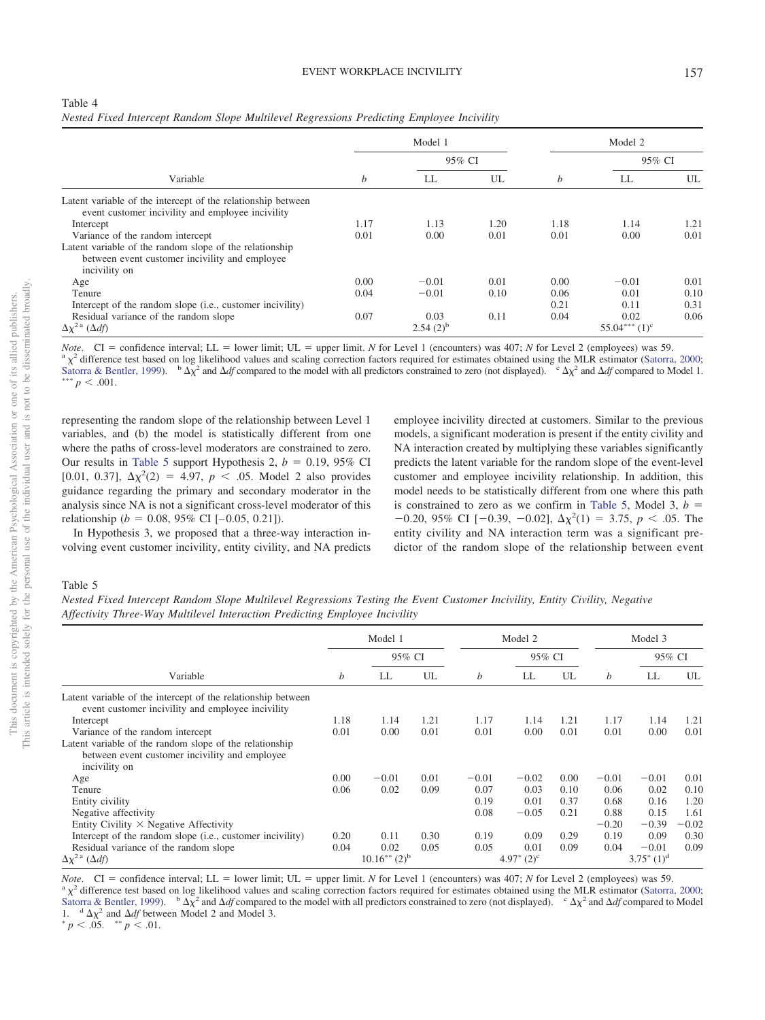*Nested Fixed Intercept Random Slope Multilevel Regressions Predicting Employee Incivility*

|                                                                                                                                |      | Model 1       |      | Model 2 |                 |      |  |
|--------------------------------------------------------------------------------------------------------------------------------|------|---------------|------|---------|-----------------|------|--|
|                                                                                                                                |      | 95% CI        |      |         | 95% CI          |      |  |
| Variable                                                                                                                       | b    | LL            | UL   | b       | LL              | UL   |  |
| Latent variable of the intercept of the relationship between<br>event customer incivility and employee incivility<br>Intercept | 1.17 | 1.13          | 1.20 | 1.18    | 1.14            | 1.21 |  |
| Variance of the random intercept                                                                                               | 0.01 | 0.00          | 0.01 | 0.01    | 0.00            | 0.01 |  |
| Latent variable of the random slope of the relationship<br>between event customer incivility and employee<br>incivility on     |      |               |      |         |                 |      |  |
| Age                                                                                                                            | 0.00 | $-0.01$       | 0.01 | 0.00    | $-0.01$         | 0.01 |  |
| Tenure                                                                                                                         | 0.04 | $-0.01$       | 0.10 | 0.06    | 0.01            | 0.10 |  |
| Intercept of the random slope ( <i>i.e.</i> , customer incivility)                                                             |      |               |      | 0.21    | 0.11            | 0.31 |  |
| Residual variance of the random slope                                                                                          | 0.07 | 0.03          | 0.11 | 0.04    | 0.02            | 0.06 |  |
| $\Delta \chi^{2a}$ ( $\Delta df$ )                                                                                             |      | $2.54(2)^{b}$ |      |         | $55.04***(1)^c$ |      |  |

*Note*. CI = confidence interval; LL = lower limit; UL = upper limit. *N* for Level 1 (encounters) was 407; *N* for Level 2 (employees) was 59.  $a \chi^2$  difference test based on log likelihood values and scaling correction factors required for estimates obtained using the MLR estimator (Satorra, 2000; Satorra & Bentler, 1999).  $\frac{b}{\Delta \chi^2}$  and  $\Delta df$  compared to the model with all predictors constrained to zero (not displayed).  $\frac{c}{\Delta \chi^2}$  and  $\Delta df$  compared to Model 1.  $p^*$  *p* < .001.

representing the random slope of the relationship between Level 1 variables, and (b) the model is statistically different from one where the paths of cross-level moderators are constrained to zero. Our results in Table 5 support Hypothesis 2,  $b = 0.19$ , 95% CI [0.01, 0.37],  $\Delta \chi^2(2) = 4.97$ ,  $p < .05$ . Model 2 also provides guidance regarding the primary and secondary moderator in the analysis since NA is not a significant cross-level moderator of this relationship ( $b = 0.08, 95\%$  CI [-0.05, 0.21]).

In Hypothesis 3, we proposed that a three-way interaction involving event customer incivility, entity civility, and NA predicts

employee incivility directed at customers. Similar to the previous models, a significant moderation is present if the entity civility and NA interaction created by multiplying these variables significantly predicts the latent variable for the random slope of the event-level customer and employee incivility relationship. In addition, this model needs to be statistically different from one where this path is constrained to zero as we confirm in Table 5, Model 3,  $b =$  $-0.20$ , 95% CI [ $-0.39$ ,  $-0.02$ ],  $\Delta \chi^2(1) = 3.75$ ,  $p < .05$ . The entity civility and NA interaction term was a significant predictor of the random slope of the relationship between event

# Table 5

*Nested Fixed Intercept Random Slope Multilevel Regressions Testing the Event Customer Incivility, Entity Civility, Negative Affectivity Three-Way Multilevel Interaction Predicting Employee Incivility*

|                                                                                                                            | Model 1 |                   |      | Model 2          |                                 |      | Model 3 |               |         |
|----------------------------------------------------------------------------------------------------------------------------|---------|-------------------|------|------------------|---------------------------------|------|---------|---------------|---------|
|                                                                                                                            |         | 95% CI            |      | $\boldsymbol{b}$ | 95% CI                          |      |         | 95% CI        |         |
| Variable                                                                                                                   |         | LL                | UL   |                  | LL                              | UL   | b       | LL            | UL      |
| Latent variable of the intercept of the relationship between<br>event customer incivility and employee incivility          |         |                   |      |                  |                                 |      |         |               |         |
| Intercept                                                                                                                  | 1.18    | 1.14              | 1.21 | 1.17             | 1.14                            | 1.21 | 1.17    | 1.14          | 1.21    |
| Variance of the random intercept                                                                                           | 0.01    | 0.00              | 0.01 | 0.01             | 0.00                            | 0.01 | 0.01    | 0.00          | 0.01    |
| Latent variable of the random slope of the relationship<br>between event customer incivility and employee<br>incivility on |         |                   |      |                  |                                 |      |         |               |         |
| Age                                                                                                                        | 0.00    | $-0.01$           | 0.01 | $-0.01$          | $-0.02$                         | 0.00 | $-0.01$ | $-0.01$       | 0.01    |
| Tenure                                                                                                                     | 0.06    | 0.02              | 0.09 | 0.07             | 0.03                            | 0.10 | 0.06    | 0.02          | 0.10    |
| Entity civility                                                                                                            |         |                   |      | 0.19             | 0.01                            | 0.37 | 0.68    | 0.16          | 1.20    |
| Negative affectivity                                                                                                       |         |                   |      | 0.08             | $-0.05$                         | 0.21 | 0.88    | 0.15          | 1.61    |
| Entity Civility $\times$ Negative Affectivity                                                                              |         |                   |      |                  |                                 |      | $-0.20$ | $-0.39$       | $-0.02$ |
| Intercept of the random slope (i.e., customer incivility)                                                                  | 0.20    | 0.11              | 0.30 | 0.19             | 0.09                            | 0.29 | 0.19    | 0.09          | 0.30    |
| Residual variance of the random slope                                                                                      | 0.04    | 0.02              | 0.05 | 0.05             | 0.01                            | 0.09 | 0.04    | $-0.01$       | 0.09    |
| $\Delta \chi^{2a}$ ( $\Delta df$ )                                                                                         |         | $10.16***(2)^{b}$ |      |                  | $4.97^{\circ}$ (2) <sup>c</sup> |      |         | $3.75^*(1)^d$ |         |

*Note*. CI = confidence interval; LL = lower limit; UL = upper limit. *N* for Level 1 (encounters) was 407; *N* for Level 2 (employees) was 59.  $a \chi^2$  difference test based on log likelihood values and scaling correction factors required for estimates obtained using the MLR estimator (Satorra, 2000; Satorra & Bentler, 1999).  $\frac{b}{\Delta \chi^2}$  and  $\Delta df$  compared to the model with all predictors constrained to zero (not displayed).  $\frac{c}{\Delta \chi^2}$  and  $\Delta df$  compared to Model 1.  $d \Delta \chi^2$  and  $\Delta df$  between Model 2 and Model 3.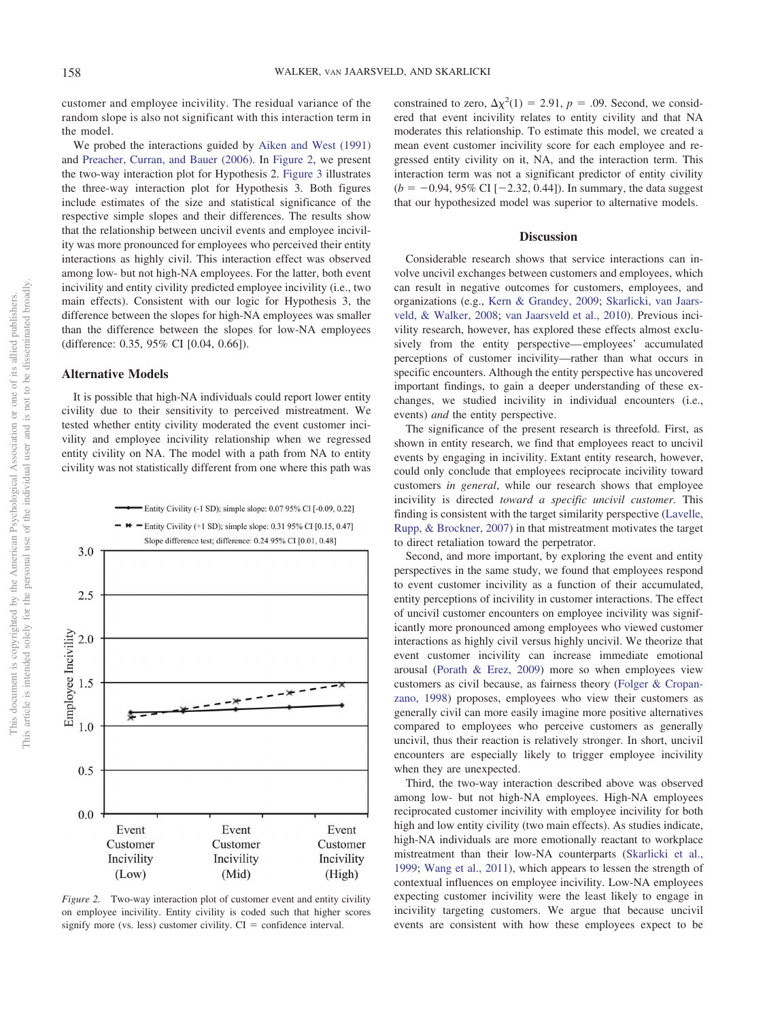customer and employee incivility. The residual variance of the random slope is also not significant with this interaction term in the model.

We probed the interactions guided by Aiken and West (1991) and Preacher, Curran, and Bauer (2006). In Figure 2, we present the two-way interaction plot for Hypothesis 2. Figure 3 illustrates the three-way interaction plot for Hypothesis 3. Both figures include estimates of the size and statistical significance of the respective simple slopes and their differences. The results show that the relationship between uncivil events and employee incivility was more pronounced for employees who perceived their entity interactions as highly civil. This interaction effect was observed among low- but not high-NA employees. For the latter, both event incivility and entity civility predicted employee incivility (i.e., two main effects). Consistent with our logic for Hypothesis 3, the difference between the slopes for high-NA employees was smaller than the difference between the slopes for low-NA employees (difference: 0.35, 95% CI [0.04, 0.66]).

### **Alternative Models**

It is possible that high-NA individuals could report lower entity civility due to their sensitivity to perceived mistreatment. We tested whether entity civility moderated the event customer incivility and employee incivility relationship when we regressed entity civility on NA. The model with a path from NA to entity civility was not statistically different from one where this path was



*Figure 2.* Two-way interaction plot of customer event and entity civility on employee incivility. Entity civility is coded such that higher scores signify more (vs. less) customer civility.  $CI =$  confidence interval.

constrained to zero,  $\Delta \chi^2(1) = 2.91$ ,  $p = .09$ . Second, we considered that event incivility relates to entity civility and that NA moderates this relationship. To estimate this model, we created a mean event customer incivility score for each employee and regressed entity civility on it, NA, and the interaction term. This interaction term was not a significant predictor of entity civility  $(b = -0.94, 95\% \text{ CI} [-2.32, 0.44])$ . In summary, the data suggest that our hypothesized model was superior to alternative models.

#### **Discussion**

Considerable research shows that service interactions can involve uncivil exchanges between customers and employees, which can result in negative outcomes for customers, employees, and organizations (e.g., Kern & Grandey, 2009; Skarlicki, van Jaarsveld, & Walker, 2008; van Jaarsveld et al., 2010). Previous incivility research, however, has explored these effects almost exclusively from the entity perspective—employees' accumulated perceptions of customer incivility—rather than what occurs in specific encounters. Although the entity perspective has uncovered important findings, to gain a deeper understanding of these exchanges, we studied incivility in individual encounters (i.e., events) *and* the entity perspective.

The significance of the present research is threefold. First, as shown in entity research, we find that employees react to uncivil events by engaging in incivility. Extant entity research, however, could only conclude that employees reciprocate incivility toward customers *in general*, while our research shows that employee incivility is directed *toward a specific uncivil customer.* This finding is consistent with the target similarity perspective (Lavelle, Rupp, & Brockner, 2007) in that mistreatment motivates the target to direct retaliation toward the perpetrator.

Second, and more important, by exploring the event and entity perspectives in the same study, we found that employees respond to event customer incivility as a function of their accumulated, entity perceptions of incivility in customer interactions. The effect of uncivil customer encounters on employee incivility was significantly more pronounced among employees who viewed customer interactions as highly civil versus highly uncivil. We theorize that event customer incivility can increase immediate emotional arousal (Porath & Erez, 2009) more so when employees view customers as civil because, as fairness theory (Folger & Cropanzano, 1998) proposes, employees who view their customers as generally civil can more easily imagine more positive alternatives compared to employees who perceive customers as generally uncivil, thus their reaction is relatively stronger. In short, uncivil encounters are especially likely to trigger employee incivility when they are unexpected.

Third, the two-way interaction described above was observed among low- but not high-NA employees. High-NA employees reciprocated customer incivility with employee incivility for both high and low entity civility (two main effects). As studies indicate, high-NA individuals are more emotionally reactant to workplace mistreatment than their low-NA counterparts (Skarlicki et al., 1999; Wang et al., 2011), which appears to lessen the strength of contextual influences on employee incivility. Low-NA employees expecting customer incivility were the least likely to engage in incivility targeting customers. We argue that because uncivil events are consistent with how these employees expect to be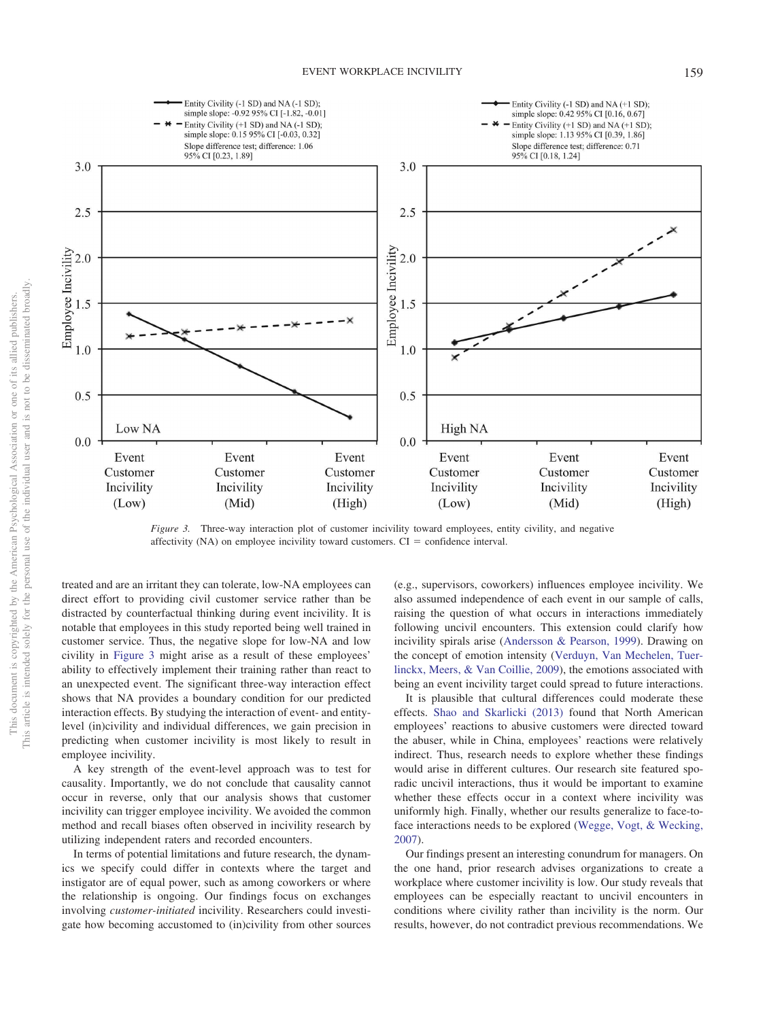

*Figure 3.* Three-way interaction plot of customer incivility toward employees, entity civility, and negative affectivity (NA) on employee incivility toward customers.  $CI =$  confidence interval.

treated and are an irritant they can tolerate, low-NA employees can direct effort to providing civil customer service rather than be distracted by counterfactual thinking during event incivility. It is notable that employees in this study reported being well trained in customer service. Thus, the negative slope for low-NA and low civility in Figure 3 might arise as a result of these employees' ability to effectively implement their training rather than react to an unexpected event. The significant three-way interaction effect shows that NA provides a boundary condition for our predicted interaction effects. By studying the interaction of event- and entitylevel (in)civility and individual differences, we gain precision in predicting when customer incivility is most likely to result in employee incivility.

A key strength of the event-level approach was to test for causality. Importantly, we do not conclude that causality cannot occur in reverse, only that our analysis shows that customer incivility can trigger employee incivility. We avoided the common method and recall biases often observed in incivility research by utilizing independent raters and recorded encounters.

In terms of potential limitations and future research, the dynamics we specify could differ in contexts where the target and instigator are of equal power, such as among coworkers or where the relationship is ongoing. Our findings focus on exchanges involving *customer-initiated* incivility. Researchers could investigate how becoming accustomed to (in)civility from other sources (e.g., supervisors, coworkers) influences employee incivility. We also assumed independence of each event in our sample of calls, raising the question of what occurs in interactions immediately following uncivil encounters. This extension could clarify how incivility spirals arise (Andersson & Pearson, 1999). Drawing on the concept of emotion intensity (Verduyn, Van Mechelen, Tuerlinckx, Meers, & Van Coillie, 2009), the emotions associated with being an event incivility target could spread to future interactions.

It is plausible that cultural differences could moderate these effects. Shao and Skarlicki (2013) found that North American employees' reactions to abusive customers were directed toward the abuser, while in China, employees' reactions were relatively indirect. Thus, research needs to explore whether these findings would arise in different cultures. Our research site featured sporadic uncivil interactions, thus it would be important to examine whether these effects occur in a context where incivility was uniformly high. Finally, whether our results generalize to face-toface interactions needs to be explored (Wegge, Vogt, & Wecking, 2007).

Our findings present an interesting conundrum for managers. On the one hand, prior research advises organizations to create a workplace where customer incivility is low. Our study reveals that employees can be especially reactant to uncivil encounters in conditions where civility rather than incivility is the norm. Our results, however, do not contradict previous recommendations. We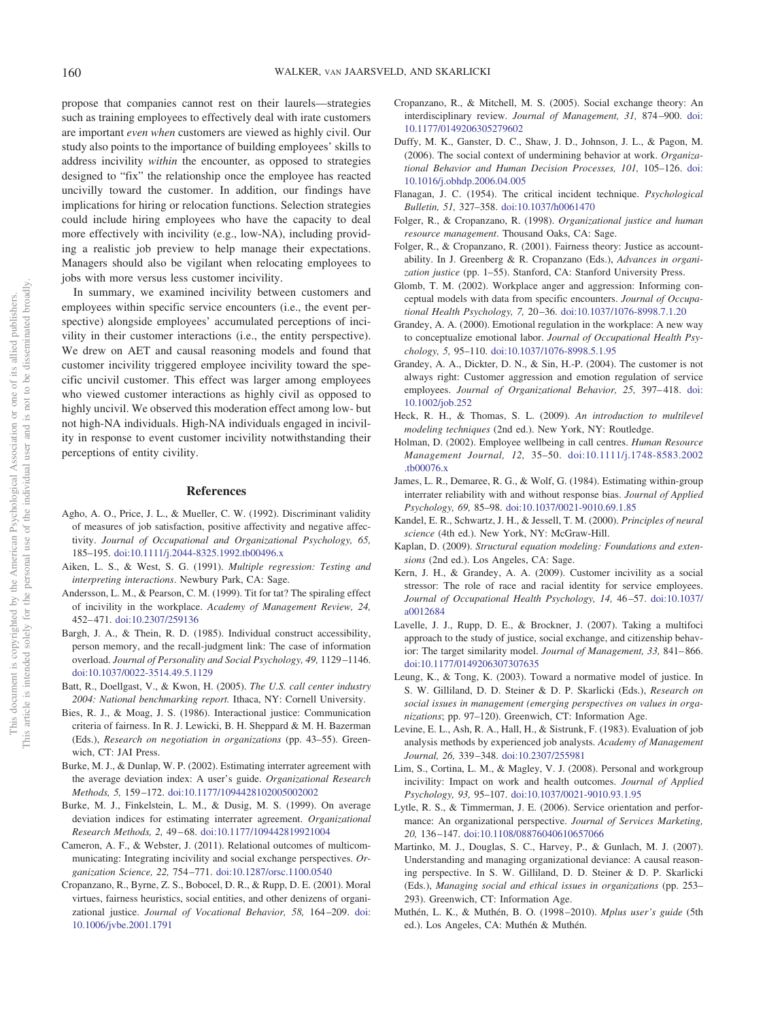propose that companies cannot rest on their laurels—strategies such as training employees to effectively deal with irate customers are important *even when* customers are viewed as highly civil. Our study also points to the importance of building employees' skills to address incivility *within* the encounter, as opposed to strategies designed to "fix" the relationship once the employee has reacted uncivilly toward the customer. In addition, our findings have implications for hiring or relocation functions. Selection strategies could include hiring employees who have the capacity to deal more effectively with incivility (e.g., low-NA), including providing a realistic job preview to help manage their expectations. Managers should also be vigilant when relocating employees to jobs with more versus less customer incivility.

In summary, we examined incivility between customers and employees within specific service encounters (i.e., the event perspective) alongside employees' accumulated perceptions of incivility in their customer interactions (i.e., the entity perspective). We drew on AET and causal reasoning models and found that customer incivility triggered employee incivility toward the specific uncivil customer. This effect was larger among employees who viewed customer interactions as highly civil as opposed to highly uncivil. We observed this moderation effect among low- but not high-NA individuals. High-NA individuals engaged in incivility in response to event customer incivility notwithstanding their perceptions of entity civility.

#### **References**

- Agho, A. O., Price, J. L., & Mueller, C. W. (1992). Discriminant validity of measures of job satisfaction, positive affectivity and negative affectivity. *Journal of Occupational and Organizational Psychology, 65,* 185–195. doi:10.1111/j.2044-8325.1992.tb00496.x
- Aiken, L. S., & West, S. G. (1991). *Multiple regression: Testing and interpreting interactions*. Newbury Park, CA: Sage.
- Andersson, L. M., & Pearson, C. M. (1999). Tit for tat? The spiraling effect of incivility in the workplace. *Academy of Management Review, 24,* 452–471. doi:10.2307/259136
- Bargh, J. A., & Thein, R. D. (1985). Individual construct accessibility, person memory, and the recall-judgment link: The case of information overload. *Journal of Personality and Social Psychology, 49,* 1129–1146. doi:10.1037/0022-3514.49.5.1129
- Batt, R., Doellgast, V., & Kwon, H. (2005). *The U.S. call center industry 2004: National benchmarking report.* Ithaca, NY: Cornell University.
- Bies, R. J., & Moag, J. S. (1986). Interactional justice: Communication criteria of fairness. In R. J. Lewicki, B. H. Sheppard & M. H. Bazerman (Eds.), *Research on negotiation in organizations* (pp. 43–55). Greenwich, CT: JAI Press.
- Burke, M. J., & Dunlap, W. P. (2002). Estimating interrater agreement with the average deviation index: A user's guide. *Organizational Research Methods, 5,* 159–172. doi:10.1177/1094428102005002002
- Burke, M. J., Finkelstein, L. M., & Dusig, M. S. (1999). On average deviation indices for estimating interrater agreement. *Organizational Research Methods, 2,* 49–68. doi:10.1177/109442819921004
- Cameron, A. F., & Webster, J. (2011). Relational outcomes of multicommunicating: Integrating incivility and social exchange perspectives. *Organization Science, 22,* 754–771. doi:10.1287/orsc.1100.0540
- Cropanzano, R., Byrne, Z. S., Bobocel, D. R., & Rupp, D. E. (2001). Moral virtues, fairness heuristics, social entities, and other denizens of organizational justice. *Journal of Vocational Behavior, 58,* 164–209. doi: 10.1006/jvbe.2001.1791
- Cropanzano, R., & Mitchell, M. S. (2005). Social exchange theory: An interdisciplinary review. *Journal of Management, 31,* 874–900. doi: 10.1177/0149206305279602
- Duffy, M. K., Ganster, D. C., Shaw, J. D., Johnson, J. L., & Pagon, M. (2006). The social context of undermining behavior at work. *Organizational Behavior and Human Decision Processes, 101,* 105–126. doi: 10.1016/j.obhdp.2006.04.005
- Flanagan, J. C. (1954). The critical incident technique. *Psychological Bulletin, 51,* 327–358. doi:10.1037/h0061470
- Folger, R., & Cropanzano, R. (1998). *Organizational justice and human resource management*. Thousand Oaks, CA: Sage.
- Folger, R., & Cropanzano, R. (2001). Fairness theory: Justice as accountability. In J. Greenberg & R. Cropanzano (Eds.), *Advances in organization justice* (pp. 1–55). Stanford, CA: Stanford University Press.
- Glomb, T. M. (2002). Workplace anger and aggression: Informing conceptual models with data from specific encounters. *Journal of Occupational Health Psychology, 7,* 20–36. doi:10.1037/1076-8998.7.1.20
- Grandey, A. A. (2000). Emotional regulation in the workplace: A new way to conceptualize emotional labor. *Journal of Occupational Health Psychology, 5,* 95–110. doi:10.1037/1076-8998.5.1.95
- Grandey, A. A., Dickter, D. N., & Sin, H.-P. (2004). The customer is not always right: Customer aggression and emotion regulation of service employees. *Journal of Organizational Behavior, 25,* 397–418. doi: 10.1002/job.252
- Heck, R. H., & Thomas, S. L. (2009). *An introduction to multilevel modeling techniques* (2nd ed.). New York, NY: Routledge.
- Holman, D. (2002). Employee wellbeing in call centres. *Human Resource Management Journal, 12,* 35–50. doi:10.1111/j.1748-8583.2002 .tb00076.x
- James, L. R., Demaree, R. G., & Wolf, G. (1984). Estimating within-group interrater reliability with and without response bias. *Journal of Applied Psychology, 69,* 85–98. doi:10.1037/0021-9010.69.1.85
- Kandel, E. R., Schwartz, J. H., & Jessell, T. M. (2000). *Principles of neural science* (4th ed.). New York, NY: McGraw-Hill.
- Kaplan, D. (2009). *Structural equation modeling: Foundations and extensions* (2nd ed.). Los Angeles, CA: Sage.
- Kern, J. H., & Grandey, A. A. (2009). Customer incivility as a social stressor: The role of race and racial identity for service employees. *Journal of Occupational Health Psychology, 14,* 46–57. doi:10.1037/ a0012684
- Lavelle, J. J., Rupp, D. E., & Brockner, J. (2007). Taking a multifoci approach to the study of justice, social exchange, and citizenship behavior: The target similarity model. *Journal of Management, 33,* 841–866. doi:10.1177/0149206307307635
- Leung, K., & Tong, K. (2003). Toward a normative model of justice. In S. W. Gilliland, D. D. Steiner & D. P. Skarlicki (Eds.), *Research on social issues in management (emerging perspectives on values in organizations*; pp. 97–120). Greenwich, CT: Information Age.
- Levine, E. L., Ash, R. A., Hall, H., & Sistrunk, F. (1983). Evaluation of job analysis methods by experienced job analysts. *Academy of Management Journal, 26,* 339–348. doi:10.2307/255981
- Lim, S., Cortina, L. M., & Magley, V. J. (2008). Personal and workgroup incivility: Impact on work and health outcomes. *Journal of Applied Psychology, 93,* 95–107. doi:10.1037/0021-9010.93.1.95
- Lytle, R. S., & Timmerman, J. E. (2006). Service orientation and performance: An organizational perspective. *Journal of Services Marketing, 20,* 136–147. doi:10.1108/08876040610657066
- Martinko, M. J., Douglas, S. C., Harvey, P., & Gunlach, M. J. (2007). Understanding and managing organizational deviance: A causal reasoning perspective. In S. W. Gilliland, D. D. Steiner & D. P. Skarlicki (Eds.), *Managing social and ethical issues in organizations* (pp. 253– 293). Greenwich, CT: Information Age.
- Muthén, L. K., & Muthén, B. O. (1998–2010). *Mplus user's guide* (5th ed.). Los Angeles, CA: Muthén & Muthén.